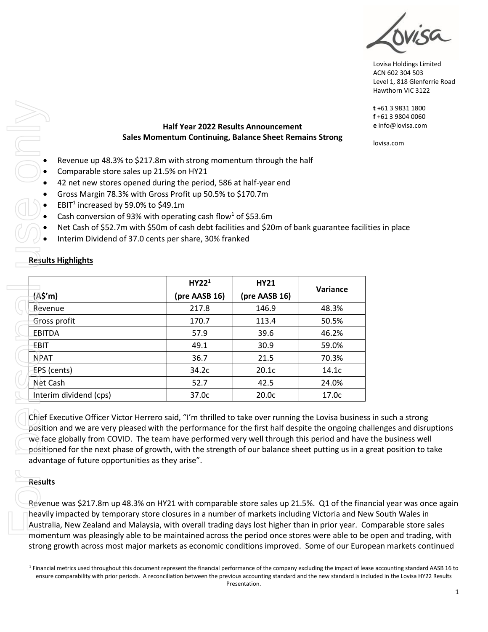Lovisa Holdings Limited ACN 602 304 503 Level 1, 818 Glenferrie Road Hawthorn VIC 3122

# **Half Year 2022 Results Announcement Sales Momentum Continuing, Balance Sheet Remains Strong** Sales Momentum Continuing, Balance Sheet Remains<br>
Revenue up 48.3% to \$217.8m with strong momentum through the half<br>
Comparable store sales up 21.5% on HY21<br>
42 net new stores opened during the period, 586 at half-year end

- 
- Comparable store sales up 21.5% on HY21
- 42 net new stores opened during the period, 586 at half-year end
- Gross Margin 78.3% with Gross Profit up 50.5% to \$170.7m
- EBIT<sup>1</sup> increased by 59.0% to \$49.1m
- Cash conversion of 93% with operating cash flow<sup>1</sup> of \$53.6m
- Net Cash of \$52.7m with \$50m of cash debt facilities and \$20m of bank guarantee facilities in place
- Interim Dividend of 37.0 cents per share, 30% franked

## **Results Highlights**

|                                                                                                                                                                                                                                                                                                                                                                                                                                                                                                                                                                              | <b>Half Year 2022 Results Announcement</b> |               |          | t+61 3 9831 1800<br>$f + 61$ 3 9804 0060<br>e info@lovisa.com |
|------------------------------------------------------------------------------------------------------------------------------------------------------------------------------------------------------------------------------------------------------------------------------------------------------------------------------------------------------------------------------------------------------------------------------------------------------------------------------------------------------------------------------------------------------------------------------|--------------------------------------------|---------------|----------|---------------------------------------------------------------|
| Sales Momentum Continuing, Balance Sheet Remains Strong                                                                                                                                                                                                                                                                                                                                                                                                                                                                                                                      | lovisa.com                                 |               |          |                                                               |
| Revenue up 48.3% to \$217.8m with strong momentum through the half<br>Comparable store sales up 21.5% on HY21<br>42 net new stores opened during the period, 586 at half-year end<br>Gross Margin 78.3% with Gross Profit up 50.5% to \$170.7m<br>EBIT <sup>1</sup> increased by 59.0% to \$49.1m<br>Cash conversion of 93% with operating cash flow <sup>1</sup> of \$53.6m<br>Net Cash of \$52.7m with \$50m of cash debt facilities and \$20m of bank guarantee facilities in place<br>Interim Dividend of 37.0 cents per share, 30% franked<br><b>Results Highlights</b> |                                            |               |          |                                                               |
|                                                                                                                                                                                                                                                                                                                                                                                                                                                                                                                                                                              | HY22 <sup>1</sup>                          | <b>HY21</b>   |          |                                                               |
| (A\$'m)                                                                                                                                                                                                                                                                                                                                                                                                                                                                                                                                                                      | (pre AASB 16)                              | (pre AASB 16) | Variance |                                                               |
| Revenue                                                                                                                                                                                                                                                                                                                                                                                                                                                                                                                                                                      | 217.8                                      | 146.9         | 48.3%    |                                                               |
| Gross profit                                                                                                                                                                                                                                                                                                                                                                                                                                                                                                                                                                 | 170.7                                      | 113.4         | 50.5%    |                                                               |
| <b>EBITDA</b>                                                                                                                                                                                                                                                                                                                                                                                                                                                                                                                                                                | 57.9                                       | 39.6          | 46.2%    |                                                               |
| €BIT                                                                                                                                                                                                                                                                                                                                                                                                                                                                                                                                                                         | 49.1                                       | 30.9          | 59.0%    |                                                               |
| <b>NPAT</b>                                                                                                                                                                                                                                                                                                                                                                                                                                                                                                                                                                  | 36.7                                       | 21.5          | 70.3%    |                                                               |
| EPS (cents)                                                                                                                                                                                                                                                                                                                                                                                                                                                                                                                                                                  | 34.2c                                      | 20.1c         | 14.1c    |                                                               |
| Net Cash                                                                                                                                                                                                                                                                                                                                                                                                                                                                                                                                                                     | 52.7                                       | 42.5          | 24.0%    |                                                               |
| Interim dividend (cps)                                                                                                                                                                                                                                                                                                                                                                                                                                                                                                                                                       | 37.0c                                      | 20.0c         | 17.0c    |                                                               |
| Chief Executive Officer Victor Herrero said, "I'm thrilled to take over running the Lovisa business in such a strong<br>position and we are very pleased with the performance for the first half despite the ongoing challenges and disruptions<br>we face globally from COVID. The team have performed very well through this period and have the business well<br>positioned for the next phase of growth, with the strength of our balance sheet putting us in a great position to take<br>advantage of future opportunities as they arise".<br><b>Results</b>            |                                            |               |          |                                                               |
|                                                                                                                                                                                                                                                                                                                                                                                                                                                                                                                                                                              |                                            |               |          |                                                               |
| Revenue was \$217.8m up 48.3% on HY21 with comparable store sales up 21.5%. Q1 of the financial year was once agair<br>heavily impacted by temporary store closures in a number of markets including Victoria and New South Wales in<br>Australia, New Zealand and Malaysia, with overall trading days lost higher than in prior year. Comparable store sales<br>momentum was pleasingly able to be maintained across the period once stores were able to be open and trading, with                                                                                          |                                            |               |          |                                                               |

## **Results**

<sup>&</sup>lt;sup>1</sup> Financial metrics used throughout this document represent the financial performance of the company excluding the impact of lease accounting standard AASB 16 to ensure comparability with prior periods. A reconciliation between the previous accounting standard and the new standard is included in the Lovisa HY22 Results Presentation.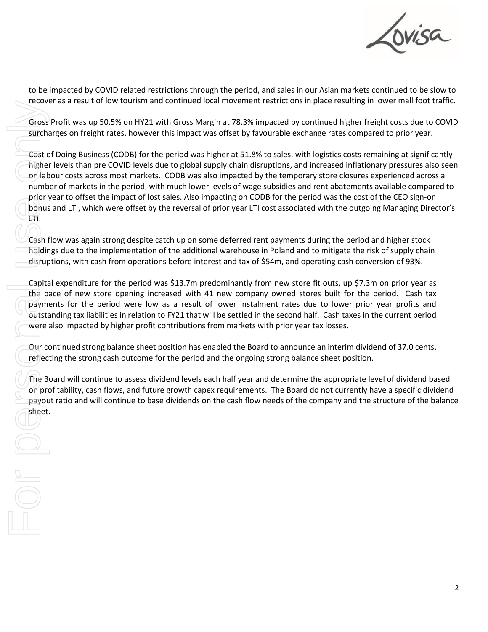

to be impacted by COVID related restrictions through the period, and sales in our Asian markets continued to be slow to recover as a result of low tourism and continued local movement restrictions in place resulting in lower mall foot traffic.

Gross Profit was up 50.5% on HY21 with Gross Margin at 78.3% impacted by continued higher freight costs due to COVID surcharges on freight rates, however this impact was offset by favourable exchange rates compared to prior year.

Cost of Doing Business (CODB) for the period was higher at 51.8% to sales, with logistics costs remaining at significantly higher levels than pre COVID levels due to global supply chain disruptions, and increased inflationary pressures also seen on labour costs across most markets. CODB was also impacted by the temporary store closures experienced across a number of markets in the period, with much lower levels of wage subsidies and rent abatements available compared to prior year to offset the impact of lost sales. Also impacting on CODB for the period was the cost of the CEO sign-on bonus and LTI, which were offset by the reversal of prior year LTI cost associated with the outgoing Managing Director's LTI. Frecove<br>
Gross<br>
Surcha<br>
Cost o<br>
Cost o<br>
Cost o<br>
Cost o<br>
Cost o<br>
Cost o<br>
Cost o<br>
Cost o<br>
Cost o<br>
Cost o<br>
Cost o<br>
Conlab<br>
The Bodyme<br>
Capita<br>
Capita<br>
Capita<br>
Capita<br>
Capita<br>
Capita<br>
Capita<br>
Cour cost of Preflect<br>
Che Bodyme<br>

Cash flow was again strong despite catch up on some deferred rent payments during the period and higher stock holdings due to the implementation of the additional warehouse in Poland and to mitigate the risk of supply chain disruptions, with cash from operations before interest and tax of \$54m, and operating cash conversion of 93%.

Capital expenditure for the period was \$13.7m predominantly from new store fit outs, up \$7.3m on prior year as the pace of new store opening increased with 41 new company owned stores built for the period. Cash tax payments for the period were low as a result of lower instalment rates due to lower prior year profits and outstanding tax liabilities in relation to FY21 that will be settled in the second half. Cash taxes in the current period were also impacted by higher profit contributions from markets with prior year tax losses.

Our continued strong balance sheet position has enabled the Board to announce an interim dividend of 37.0 cents, reflecting the strong cash outcome for the period and the ongoing strong balance sheet position.

The Board will continue to assess dividend levels each half year and determine the appropriate level of dividend based on profitability, cash flows, and future growth capex requirements. The Board do not currently have a specific dividend payout ratio and will continue to base dividends on the cash flow needs of the company and the structure of the balance sheet.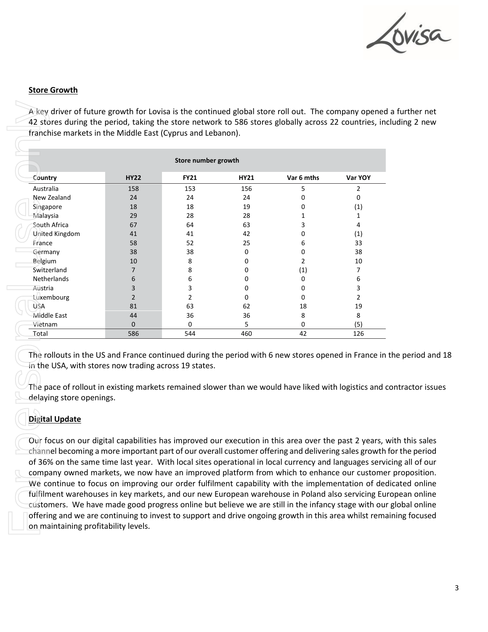

#### **Store Growth**

A key driver of future growth for Lovisa is the continued global store roll out. The company opened a further net 42 stores during the period, taking the store network to 586 stores globally across 22 countries, including 2 new franchise markets in the Middle East (Cyprus and Lebanon).

| Store number growth                                                                                                                                                                      |                |             |      |            |                |  |  |
|------------------------------------------------------------------------------------------------------------------------------------------------------------------------------------------|----------------|-------------|------|------------|----------------|--|--|
| Country                                                                                                                                                                                  | <b>HY22</b>    | <b>FY21</b> | HY21 | Var 6 mths | Var YOY        |  |  |
| Australia                                                                                                                                                                                | 158            | 153         | 156  | 5          | 2              |  |  |
| New Zealand                                                                                                                                                                              | 24             | 24          | 24   | 0          | 0              |  |  |
| Singapore                                                                                                                                                                                | 18             | 18          | 19   | 0          | (1)            |  |  |
| Malaysia                                                                                                                                                                                 | 29             | 28          | 28   | 1          | $\mathbf{1}$   |  |  |
| South Africa                                                                                                                                                                             | 67             | 64          | 63   | 3          | 4              |  |  |
| United Kingdom                                                                                                                                                                           | 41             | 41          | 42   | 0          | (1)            |  |  |
| France                                                                                                                                                                                   | 58             | 52          | 25   | 6          | 33             |  |  |
| Germany                                                                                                                                                                                  | 38             | 38          | 0    | 0          | 38             |  |  |
| <b>Belgium</b>                                                                                                                                                                           | 10             | 8           | 0    | 2          | 10             |  |  |
| Switzerland                                                                                                                                                                              | 7              | 8           | 0    | (1)        | 7              |  |  |
| Netherlands                                                                                                                                                                              | 6              | 6           | 0    | 0          | 6              |  |  |
| Austria                                                                                                                                                                                  | 3              | 3           | 0    | 0          | 3              |  |  |
| Luxembourg                                                                                                                                                                               | $\overline{2}$ | 2           | 0    | 0          | $\overline{2}$ |  |  |
| <b>USA</b>                                                                                                                                                                               | 81             | 63          | 62   | 18         | 19             |  |  |
| Middle East                                                                                                                                                                              | 44             | 36          | 36   | 8          | 8              |  |  |
| Vietnam                                                                                                                                                                                  | $\mathbf 0$    | 0           | 5    | 0          | (5)            |  |  |
| Total                                                                                                                                                                                    | 586            | 544         | 460  | 42         | 126            |  |  |
| in the USA, with stores now trading across 19 states.<br>The pace of rollout in existing markets remained slower than we would have liked with logistics and<br>delaying store openings. |                |             |      |            |                |  |  |

The rollouts in the US and France continued during the period with 6 new stores opened in France in the period and 18 in the USA, with stores now trading across 19 states.

The pace of rollout in existing markets remained slower than we would have liked with logistics and contractor issues delaying store openings.

## **Digital Update**

Our focus on our digital capabilities has improved our execution in this area over the past 2 years, with this sales channel becoming a more important part of our overall customer offering and delivering sales growth for the period of 36% on the same time last year. With local sites operational in local currency and languages servicing all of our company owned markets, we now have an improved platform from which to enhance our customer proposition. We continue to focus on improving our order fulfilment capability with the implementation of dedicated online fulfilment warehouses in key markets, and our new European warehouse in Poland also servicing European online customers. We have made good progress online but believe we are still in the infancy stage with our global online offering and we are continuing to invest to support and drive ongoing growth in this area whilst remaining focused